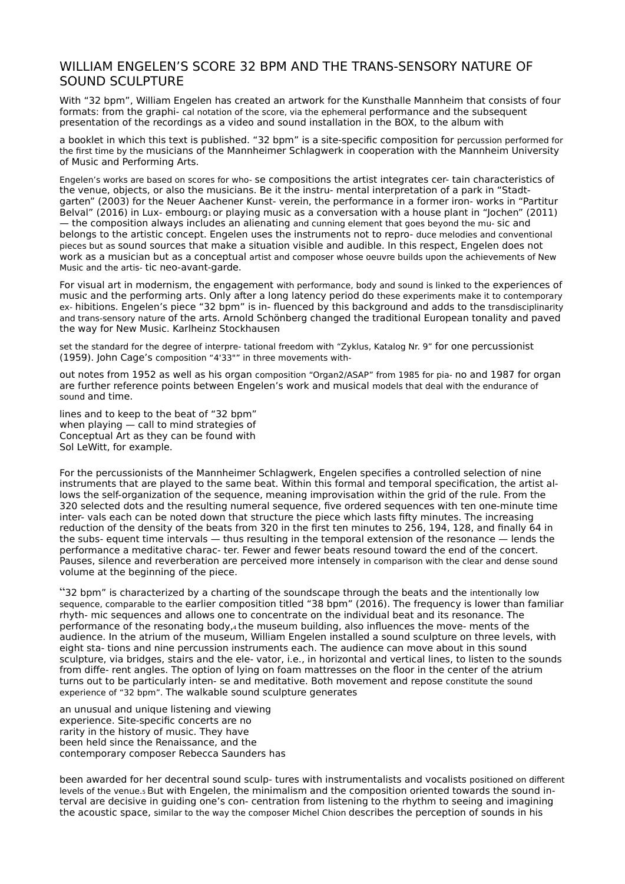## WILLIAM ENGELEN'S SCORE 32 BPM AND THE TRANS-SENSORY NATURE OF SOUND SCULPTURE

With "32 bpm", William Engelen has created an artwork for the Kunsthalle Mannheim that consists of four formats: from the graphi- cal notation of the score, via the ephemeral performance and the subsequent presentation of the recordings as a video and sound installation in the BOX, to the album with

a booklet in which this text is published. "32 bpm" is a site-specific composition for percussion performed for the first time by the musicians of the Mannheimer Schlagwerk in cooperation with the Mannheim University of Music and Performing Arts.

Engelen's works are based on scores for who- se compositions the artist integrates cer- tain characteristics of the venue, objects, or also the musicians. Be it the instru- mental interpretation of a park in "Stadtgarten" (2003) for the Neuer Aachener Kunst- verein, the performance in a former iron- works in "Partitur Belval" (2016) in Lux- embourg<sub>1</sub> or playing music as a conversation with a house plant in "Jochen" (2011) — the composition always includes an alienating and cunning element that goes beyond the mu- sic and belongs to the artistic concept. Engelen uses the instruments not to repro- duce melodies and conventional pieces but as sound sources that make a situation visible and audible. In this respect, Engelen does not work as a musician but as a conceptual artist and composer whose oeuvre builds upon the achievements of New Music and the artis- tic neo-avant-garde.

For visual art in modernism, the engagement with performance, body and sound is linked to the experiences of music and the performing arts. Only after a long latency period do these experiments make it to contemporary ex- hibitions. Engelen's piece "32 bpm" is in- fluenced by this background and adds to the transdisciplinarity and trans-sensory nature of the arts. Arnold Schönberg changed the traditional European tonality and paved the way for New Music. Karlheinz Stockhausen

set the standard for the degree of interpre- tational freedom with "Zyklus, Katalog Nr. 9" for one percussionist (1959). John Cage's composition "4'33"" in three movements with-

out notes from 1952 as well as his organ composition "Organ2/ASAP" from 1985 for pia- no and 1987 for organ are further reference points between Engelen's work and musical models that deal with the endurance of sound and time.

lines and to keep to the beat of "32 bpm" when playing — call to mind strategies of Conceptual Art as they can be found with Sol LeWitt, for example.

For the percussionists of the Mannheimer Schlagwerk, Engelen specifies a controlled selection of nine instruments that are played to the same beat. Within this formal and temporal specification, the artist allows the self-organization of the sequence, meaning improvisation within the grid of the rule. From the 320 selected dots and the resulting numeral sequence, five ordered sequences with ten one-minute time inter- vals each can be noted down that structure the piece which lasts fifty minutes. The increasing reduction of the density of the beats from 320 in the first ten minutes to 256, 194, 128, and finally 64 in the subs- equent time intervals — thus resulting in the temporal extension of the resonance — lends the performance a meditative charac- ter. Fewer and fewer beats resound toward the end of the concert. Pauses, silence and reverberation are perceived more intensely in comparison with the clear and dense sound volume at the beginning of the piece.

"32 bpm" is characterized by a charting of the soundscape through the beats and the intentionally low sequence, comparable to the earlier composition titled "38 bpm" (2016). The frequency is lower than familiar rhyth- mic sequences and allows one to concentrate on the individual beat and its resonance. The performance of the resonating body,4 the museum building, also influences the move- ments of the audience. In the atrium of the museum, William Engelen installed a sound sculpture on three levels, with eight sta- tions and nine percussion instruments each. The audience can move about in this sound sculpture, via bridges, stairs and the ele- vator, i.e., in horizontal and vertical lines, to listen to the sounds from diffe- rent angles. The option of lying on foam mattresses on the floor in the center of the atrium turns out to be particularly inten- se and meditative. Both movement and repose constitute the sound experience of "32 bpm". The walkable sound sculpture generates

an unusual and unique listening and viewing experience. Site-specific concerts are no rarity in the history of music. They have been held since the Renaissance, and the contemporary composer Rebecca Saunders has

been awarded for her decentral sound sculp- tures with instrumentalists and vocalists positioned on different levels of the venue.5 But with Engelen, the minimalism and the composition oriented towards the sound interval are decisive in guiding one's con- centration from listening to the rhythm to seeing and imagining the acoustic space, similar to the way the composer Michel Chion describes the perception of sounds in his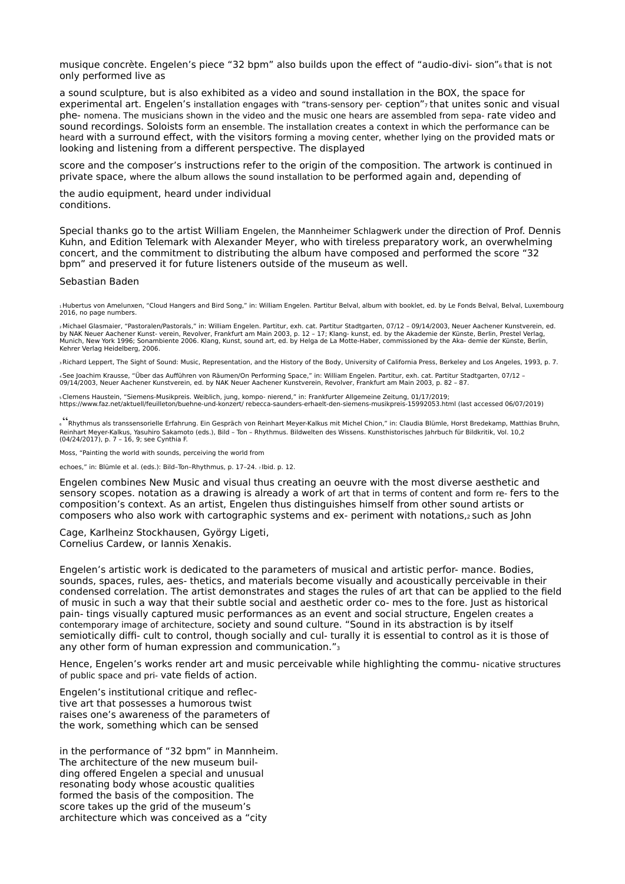musique concrète. Engelen's piece "32 bpm" also builds upon the effect of "audio-divi- sion"6 that is not only performed live as

a sound sculpture, but is also exhibited as a video and sound installation in the BOX, the space for experimental art. Engelen's installation engages with "trans-sensory per- ception"<sup>7</sup> that unites sonic and visual phe- nomena. The musicians shown in the video and the music one hears are assembled from sepa- rate video and sound recordings. Soloists form an ensemble. The installation creates a context in which the performance can be heard with a surround effect, with the visitors forming a moving center, whether lying on the provided mats or looking and listening from a different perspective. The displayed

score and the composer's instructions refer to the origin of the composition. The artwork is continued in private space, where the album allows the sound installation to be performed again and, depending of

the audio equipment, heard under individual conditions.

Special thanks go to the artist William Engelen, the Mannheimer Schlagwerk under the direction of Prof. Dennis Kuhn, and Edition Telemark with Alexander Meyer, who with tireless preparatory work, an overwhelming concert, and the commitment to distributing the album have composed and performed the score "32 bpm" and preserved it for future listeners outside of the museum as well.

## Sebastian Baden

1Hubertus von Amelunxen, "Cloud Hangers and Bird Song," in: William Engelen. Partitur Belval, album with booklet, ed. by Le Fonds Belval, Belval, Luxembourg 2016, no page numbers.

2 Michael Glasmaier, "Pastoralen/Pastorals," in: William Engelen. Partitur, exh. cat. Partitur Stadtgarten, 07/12 – 09/14/2003, Neuer Aachener Kunstverein, ed.<br>by NAK Neuer Aachener Kunst- verein, Revolver, Frankfurt am M Munich, New York 1996; Sonambiente 2006. Klang, Kunst, sound art, ed. by Helga de La Motte-Haber, commissioned by the Aka- demie der Künste, Berlin, Kehrer Verlag Heidelberg, 2006.

3 Richard Leppert, The Sight of Sound: Music, Representation, and the History of the Body, University of California Press, Berkeley and Los Angeles, 1993, p. 7.

4 See Joachim Krausse, "Über das Aufführen von Räumen/On Performing Space," in: William Engelen. Partitur, exh. cat. Partitur Stadtgarten, 07/12 – 09/14/2003, Neuer Aachener Kunstverein, ed. by NAK Neuer Aachener Kunstverein, Revolver, Frankfurt am Main 2003, p. 82 – 87.

،Clemens Haustein, "Siemens-Musikpreis. Weiblich, jung, kompo- nierend," in: Frankfurter Allgemeine Zeitung, 01/17/2019;<br>https://www.faz.net/aktuell/feuilleton/buehne-und-konzert/ rebecca-saunders-erhaelt-den-siemens-musi

<sup>6</sup>"Rhythmus als transsensorielle Erfahrung. Ein Gespräch von Reinhart Meyer-Kalkus mit Michel Chion," in: Claudia Blümle, Horst Bredekamp, Matthias Bruhn, Reinhart Meyer-Kalkus, Yasuhiro Sakamoto (eds.), Bild – Ton – Rhythmus. Bildwelten des Wissens. Kunsthistorisches Jahrbuch für Bildkritik, Vol. 10,2<br>(04/24/2017), p. 7 – 16, 9; see Cynthia F.

Moss, "Painting the world with sounds, perceiving the world from

echoes," in: Blümle et al. (eds.): Bild–Ton–Rhythmus, p. 17–24. 7 Ibid. p. 12.

Engelen combines New Music and visual thus creating an oeuvre with the most diverse aesthetic and sensory scopes. notation as a drawing is already a work of art that in terms of content and form re- fers to the composition's context. As an artist, Engelen thus distinguishes himself from other sound artists or composers who also work with cartographic systems and ex- periment with notations,2 such as John

Cage, Karlheinz Stockhausen, György Ligeti, Cornelius Cardew, or Iannis Xenakis.

Engelen's artistic work is dedicated to the parameters of musical and artistic perfor- mance. Bodies, sounds, spaces, rules, aes- thetics, and materials become visually and acoustically perceivable in their condensed correlation. The artist demonstrates and stages the rules of art that can be applied to the field of music in such a way that their subtle social and aesthetic order co- mes to the fore. Just as historical pain- tings visually captured music performances as an event and social structure, Engelen creates a contemporary image of architecture, society and sound culture. "Sound in its abstraction is by itself semiotically diffi- cult to control, though socially and cul- turally it is essential to control as it is those of any other form of human expression and communication."3

Hence, Engelen's works render art and music perceivable while highlighting the commu- nicative structures of public space and pri- vate fields of action.

Engelen's institutional critique and reflective art that possesses a humorous twist raises one's awareness of the parameters of the work, something which can be sensed

in the performance of "32 bpm" in Mannheim. The architecture of the new museum building offered Engelen a special and unusual resonating body whose acoustic qualities formed the basis of the composition. The score takes up the grid of the museum's architecture which was conceived as a "city